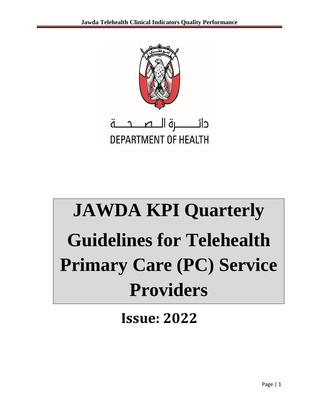

**DEPARTMENT OF HEALTH** 

# **JAWDA KPI Quarterly Guidelines for Telehealth Primary Care (PC) Service Providers**

**Issue: 2022**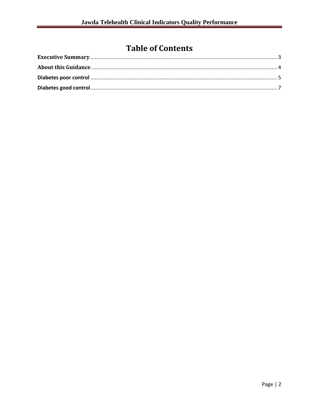# **Table of Contents**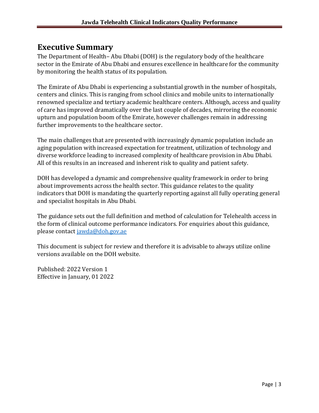## <span id="page-2-0"></span>**Executive Summary**

The Department of Health– Abu Dhabi (DOH) is the regulatory body of the healthcare sector in the Emirate of Abu Dhabi and ensures excellence in healthcare for the community by monitoring the health status of its population.

The Emirate of Abu Dhabi is experiencing a substantial growth in the number of hospitals, centers and clinics. This is ranging from school clinics and mobile units to internationally renowned specialize and tertiary academic healthcare centers. Although, access and quality of care has improved dramatically over the last couple of decades, mirroring the economic upturn and population boom of the Emirate, however challenges remain in addressing further improvements to the healthcare sector.

The main challenges that are presented with increasingly dynamic population include an aging population with increased expectation for treatment, utilization of technology and diverse workforce leading to increased complexity of healthcare provision in Abu Dhabi. All of this results in an increased and inherent risk to quality and patient safety.

DOH has developed a dynamic and comprehensive quality framework in order to bring about improvements across the health sector. This guidance relates to the quality indicators that DOH is mandating the quarterly reporting against all fully operating general and specialist hospitals in Abu Dhabi.

The guidance sets out the full definition and method of calculation for Telehealth access in the form of clinical outcome performance indicators. For enquiries about this guidance, please contact jawda@doh.gov.ae

This document is subject for review and therefore it is advisable to always utilize online versions available on the DOH website.

Published: 2022 Version 1 Effective in January, 01 2022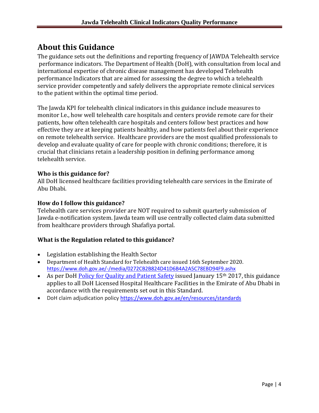# <span id="page-3-0"></span>**About this Guidance**

The guidance sets out the definitions and reporting frequency of JAWDA Telehealth service performance indicators. The Department of Health (DoH), with consultation from local and international expertise of chronic disease management has developed Telehealth performance Indicators that are aimed for assessing the degree to which a telehealth service provider competently and safely delivers the appropriate remote clinical services to the patient within the optimal time period.

The Jawda KPI for telehealth clinical indicators in this guidance include measures to monitor I.e., how well telehealth care hospitals and centers provide remote care for their patients, how often telehealth care hospitals and centers follow best practices and how effective they are at keeping patients healthy, and how patients feel about their experience on remote telehealth service. Healthcare providers are the most qualified professionals to develop and evaluate quality of care for people with chronic conditions; therefore, it is crucial that clinicians retain a leadership position in defining performance among telehealth service.

#### **Who is this guidance for?**

All DoH licensed healthcare facilities providing telehealth care services in the Emirate of Abu Dhabi.

#### **How do I follow this guidance?**

Telehealth care services provider are NOT required to submit quarterly submission of Jawda e-notification system. Jawda team will use centrally collected claim data submitted from healthcare providers through Shafafiya portal.

#### **What is the Regulation related to this guidance?**

- Legislation establishing the Health Sector
- Department of Health Standard for Telehealth care issued 16th September 2020. <https://www.doh.gov.ae/-/media/0272CB2B824D41D6B4A2A5C78EBD94F9.ashx>
- As per DoH [Policy for Quality and Patient Safety](https://www.haad.ae/HAAD/LinkClick.aspx?fileticket=Jrh93s-AyUA%3d&tabid=1276) issued January 15<sup>th</sup> 2017, this guidance applies to all DoH Licensed Hospital Healthcare Facilities in the Emirate of Abu Dhabi in accordance with the requirements set out in this Standard.
- DoH claim adjudication policy<https://www.doh.gov.ae/en/resources/standards>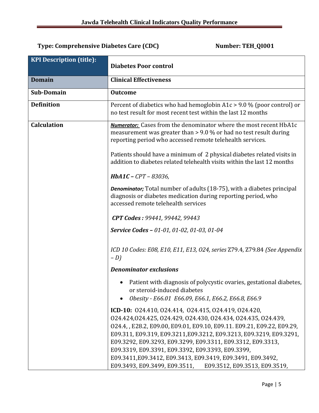### Type: Comprehensive Diabetes Care (CDC) Number: TEH\_QI001

| <b>KPI Description (title):</b> | <b>Diabetes Poor control</b>                                                                                                                                                                                                                                                                                                                                                                                                                                                                                          |
|---------------------------------|-----------------------------------------------------------------------------------------------------------------------------------------------------------------------------------------------------------------------------------------------------------------------------------------------------------------------------------------------------------------------------------------------------------------------------------------------------------------------------------------------------------------------|
| <b>Domain</b>                   | <b>Clinical Effectiveness</b>                                                                                                                                                                                                                                                                                                                                                                                                                                                                                         |
| Sub-Domain                      | <b>Outcome</b>                                                                                                                                                                                                                                                                                                                                                                                                                                                                                                        |
| <b>Definition</b>               | Percent of diabetics who had hemoglobin $A1c > 9.0$ % (poor control) or<br>no test result for most recent test within the last 12 months                                                                                                                                                                                                                                                                                                                                                                              |
| <b>Calculation</b>              | <b>Numerator:</b> Cases from the denominator where the most recent HbA1c<br>measurement was greater than $> 9.0$ % or had no test result during<br>reporting period who accessed remote telehealth services.                                                                                                                                                                                                                                                                                                          |
|                                 | Patients should have a minimum of 2 physical diabetes related visits in<br>addition to diabetes related telehealth visits within the last 12 months                                                                                                                                                                                                                                                                                                                                                                   |
|                                 | $HbA1C - CPT - 83036,$                                                                                                                                                                                                                                                                                                                                                                                                                                                                                                |
|                                 | <b>Denominator;</b> Total number of adults (18-75), with a diabetes principal<br>diagnosis or diabetes medication during reporting period, who<br>accessed remote telehealth services                                                                                                                                                                                                                                                                                                                                 |
|                                 | CPT Codes: 99441, 99442, 99443                                                                                                                                                                                                                                                                                                                                                                                                                                                                                        |
|                                 | Service Codes - 01-01, 01-02, 01-03, 01-04                                                                                                                                                                                                                                                                                                                                                                                                                                                                            |
|                                 | ICD 10 Codes: E08, E10, E11, E13, O24, series Z79.4, Z79.84 (See Appendix<br>$-D$ )                                                                                                                                                                                                                                                                                                                                                                                                                                   |
|                                 | <b>Denominator exclusions</b>                                                                                                                                                                                                                                                                                                                                                                                                                                                                                         |
|                                 | Patient with diagnosis of polycystic ovaries, gestational diabetes,<br>or steroid-induced diabetes<br>Obesity - E66.01 E66.09, E66.1, E66.2, E66.8, E66.9                                                                                                                                                                                                                                                                                                                                                             |
|                                 | ICD-10: 024.410, 024.414, 024.415, 024.419, 024.420,<br>024.424,024.425,024.429,024.430,024.434,024.435,024.439,<br>024.4, E28.2, E09.00, E09.01, E09.10, E09.11. E09.21, E09.22, E09.29,<br>E09.311, E09.319, E09.3211, E09.3212, E09.3213, E09.3219, E09.3291,<br>E09.3292, E09.3293, E09.3299, E09.3311, E09.3312, E09.3313,<br>E09.3319, E09.3391, E09.3392, E09.3393, E09.3399,<br>E09.3411, E09.3412, E09.3413, E09.3419, E09.3491, E09.3492,<br>E09.3493, E09.3499, E09.3511,<br>E09.3512, E09.3513, E09.3519, |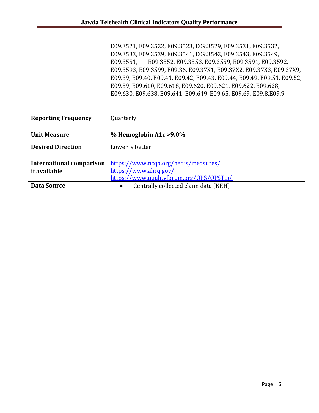|                                 | E09.3521, E09.3522, E09.3523, E09.3529, E09.3531, E09.3532,             |
|---------------------------------|-------------------------------------------------------------------------|
|                                 | E09.3533, E09.3539, E09.3541, E09.3542, E09.3543, E09.3549,             |
|                                 | E09.3551, E09.3552, E09.3553, E09.3559, E09.3591, E09.3592,             |
|                                 | E09.3593, E09.3599, E09.36, E09.37X1, E09.37X2, E09.37X3, E09.37X9,     |
|                                 | E09.39, E09.40, E09.41, E09.42, E09.43, E09.44, E09.49, E09.51, E09.52, |
|                                 | E09.59, E09.610, E09.618, E09.620, E09.621, E09.622, E09.628,           |
|                                 | E09.630, E09.638, E09.641, E09.649, E09.65, E09.69, E09.8, E09.9        |
|                                 |                                                                         |
|                                 |                                                                         |
| <b>Reporting Frequency</b>      | Quarterly                                                               |
|                                 |                                                                         |
| <b>Unit Measure</b>             | $%$ Hemoglobin A1c > 9.0%                                               |
|                                 |                                                                         |
| <b>Desired Direction</b>        | Lower is better                                                         |
|                                 |                                                                         |
| <b>International comparison</b> | https://www.ncqa.org/hedis/measures/                                    |
| if available                    | https://www.ahrg.gov/                                                   |
|                                 | https://www.qualityforum.org/QPS/QPSTool                                |
| <b>Data Source</b>              | Centrally collected claim data (KEH)                                    |
|                                 |                                                                         |
|                                 |                                                                         |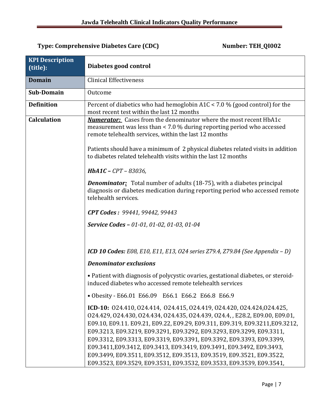### <span id="page-6-0"></span>Type: Comprehensive Diabetes Care (CDC) Mumber: TEH\_QI002

| <b>KPI Description</b><br>(title): | Diabetes good control                                                                                                                                                                                                                                                                                                                                                                                                                                                                                                                                                                                                                                                       |
|------------------------------------|-----------------------------------------------------------------------------------------------------------------------------------------------------------------------------------------------------------------------------------------------------------------------------------------------------------------------------------------------------------------------------------------------------------------------------------------------------------------------------------------------------------------------------------------------------------------------------------------------------------------------------------------------------------------------------|
| <b>Domain</b>                      | <b>Clinical Effectiveness</b>                                                                                                                                                                                                                                                                                                                                                                                                                                                                                                                                                                                                                                               |
| <b>Sub-Domain</b>                  | Outcome                                                                                                                                                                                                                                                                                                                                                                                                                                                                                                                                                                                                                                                                     |
| <b>Definition</b>                  | Percent of diabetics who had hemoglobin A1C < 7.0 % (good control) for the<br>most recent test within the last 12 months                                                                                                                                                                                                                                                                                                                                                                                                                                                                                                                                                    |
| <b>Calculation</b>                 | <b>Numerator:</b> Cases from the denominator where the most recent HbA1c<br>measurement was less than < 7.0 % during reporting period who accessed<br>remote telehealth services, within the last 12 months<br>Patients should have a minimum of 2 physical diabetes related visits in addition<br>to diabetes related telehealth visits within the last 12 months<br>$HbA1C - CPT - 83036$<br><b>Denominator:</b> Total number of adults (18-75), with a diabetes principal<br>diagnosis or diabetes medication during reporting period who accessed remote<br>telehealth services.<br>CPT Codes: 99441, 99442, 99443<br><b>Service Codes - 01-01, 01-02, 01-03, 01-04</b> |
|                                    | <b>ICD 10 Codes:</b> E08, E10, E11, E13, O24 series Z79.4, Z79.84 (See Appendix – D)                                                                                                                                                                                                                                                                                                                                                                                                                                                                                                                                                                                        |
|                                    | <b>Denominator exclusions</b>                                                                                                                                                                                                                                                                                                                                                                                                                                                                                                                                                                                                                                               |
|                                    | • Patient with diagnosis of polycystic ovaries, gestational diabetes, or steroid-<br>induced diabetes who accessed remote telehealth services                                                                                                                                                                                                                                                                                                                                                                                                                                                                                                                               |
|                                    | • Obesity - E66.01 E66.09 E66.1 E66.2 E66.8 E66.9                                                                                                                                                                                                                                                                                                                                                                                                                                                                                                                                                                                                                           |
|                                    | ICD-10: 024.410, 024.414, 024.415, 024.419, 024.420, 024.424, 024.425,<br>024.429, 024.430, 024.434, 024.435, 024.439, 024.4, E28.2, E09.00, E09.01,<br>E09.10, E09.11. E09.21, E09.22, E09.29, E09.311, E09.319, E09.3211, E09.3212,<br>E09.3213, E09.3219, E09.3291, E09.3292, E09.3293, E09.3299, E09.3311,<br>E09.3312, E09.3313, E09.3319, E09.3391, E09.3392, E09.3393, E09.3399,<br>E09.3411, E09.3412, E09.3413, E09.3419, E09.3491, E09.3492, E09.3493,<br>E09.3499, E09.3511, E09.3512, E09.3513, E09.3519, E09.3521, E09.3522,<br>E09.3523, E09.3529, E09.3531, E09.3532, E09.3533, E09.3539, E09.3541,                                                          |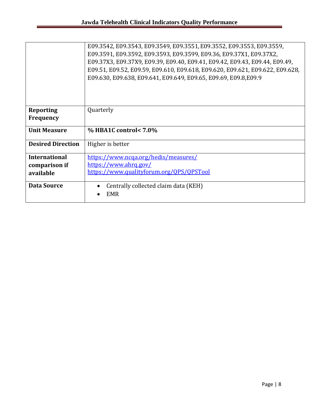|                                      | E09.3542, E09.3543, E09.3549, E09.3551, E09.3552, E09.3553, E09.3559,<br>E09.3591, E09.3592, E09.3593, E09.3599, E09.36, E09.37X1, E09.37X2,<br>E09.37X3, E09.37X9, E09.39, E09.40, E09.41, E09.42, E09.43, E09.44, E09.49,<br>E09.51, E09.52, E09.59, E09.610, E09.618, E09.620, E09.621, E09.622, E09.628,<br>E09.630, E09.638, E09.641, E09.649, E09.65, E09.69, E09.8, E09.9 |
|--------------------------------------|----------------------------------------------------------------------------------------------------------------------------------------------------------------------------------------------------------------------------------------------------------------------------------------------------------------------------------------------------------------------------------|
| <b>Reporting</b><br><b>Frequency</b> | Quarterly                                                                                                                                                                                                                                                                                                                                                                        |
| <b>Unit Measure</b>                  | $\%$ HBA1C control< 7.0%                                                                                                                                                                                                                                                                                                                                                         |
| <b>Desired Direction</b>             | Higher is better                                                                                                                                                                                                                                                                                                                                                                 |
| <b>International</b>                 | https://www.ncga.org/hedis/measures/                                                                                                                                                                                                                                                                                                                                             |
| comparison if                        | https://www.ahrg.gov/                                                                                                                                                                                                                                                                                                                                                            |
| available                            | https://www.qualityforum.org/QPS/QPSTool                                                                                                                                                                                                                                                                                                                                         |
| <b>Data Source</b>                   | Centrally collected claim data (KEH)                                                                                                                                                                                                                                                                                                                                             |
|                                      | <b>EMR</b>                                                                                                                                                                                                                                                                                                                                                                       |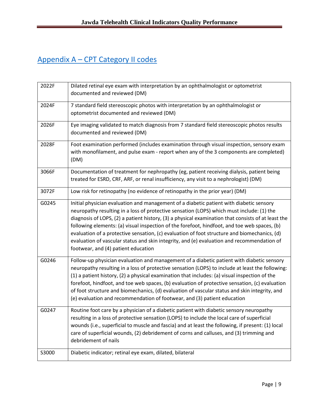# Appendix A – CPT Category II codes

| 2022F | Dilated retinal eye exam with interpretation by an ophthalmologist or optometrist<br>documented and reviewed (DM)                                                                                                                                                                                                                                                                                                                                                                                                                                                                                                               |
|-------|---------------------------------------------------------------------------------------------------------------------------------------------------------------------------------------------------------------------------------------------------------------------------------------------------------------------------------------------------------------------------------------------------------------------------------------------------------------------------------------------------------------------------------------------------------------------------------------------------------------------------------|
| 2024F | 7 standard field stereoscopic photos with interpretation by an ophthalmologist or<br>optometrist documented and reviewed (DM)                                                                                                                                                                                                                                                                                                                                                                                                                                                                                                   |
| 2026F | Eye imaging validated to match diagnosis from 7 standard field stereoscopic photos results<br>documented and reviewed (DM)                                                                                                                                                                                                                                                                                                                                                                                                                                                                                                      |
| 2028F | Foot examination performed (includes examination through visual inspection, sensory exam<br>with monofilament, and pulse exam - report when any of the 3 components are completed)<br>(DM)                                                                                                                                                                                                                                                                                                                                                                                                                                      |
| 3066F | Documentation of treatment for nephropathy (eg, patient receiving dialysis, patient being<br>treated for ESRD, CRF, ARF, or renal insufficiency, any visit to a nephrologist) (DM)                                                                                                                                                                                                                                                                                                                                                                                                                                              |
| 3072F | Low risk for retinopathy (no evidence of retinopathy in the prior year) (DM)                                                                                                                                                                                                                                                                                                                                                                                                                                                                                                                                                    |
| G0245 | Initial physician evaluation and management of a diabetic patient with diabetic sensory<br>neuropathy resulting in a loss of protective sensation (LOPS) which must include: (1) the<br>diagnosis of LOPS, (2) a patient history, (3) a physical examination that consists of at least the<br>following elements: (a) visual inspection of the forefoot, hindfoot, and toe web spaces, (b)<br>evaluation of a protective sensation, (c) evaluation of foot structure and biomechanics, (d)<br>evaluation of vascular status and skin integrity, and (e) evaluation and recommendation of<br>footwear, and (4) patient education |
| G0246 | Follow-up physician evaluation and management of a diabetic patient with diabetic sensory<br>neuropathy resulting in a loss of protective sensation (LOPS) to include at least the following:<br>(1) a patient history, (2) a physical examination that includes: (a) visual inspection of the<br>forefoot, hindfoot, and toe web spaces, (b) evaluation of protective sensation, (c) evaluation<br>of foot structure and biomechanics, (d) evaluation of vascular status and skin integrity, and<br>(e) evaluation and recommendation of footwear, and (3) patient education                                                   |
| G0247 | Routine foot care by a physician of a diabetic patient with diabetic sensory neuropathy<br>resulting in a loss of protective sensation (LOPS) to include the local care of superficial<br>wounds (i.e., superficial to muscle and fascia) and at least the following, if present: (1) local<br>care of superficial wounds, (2) debridement of corns and calluses, and (3) trimming and<br>debridement of nails                                                                                                                                                                                                                  |
| S3000 | Diabetic indicator; retinal eye exam, dilated, bilateral                                                                                                                                                                                                                                                                                                                                                                                                                                                                                                                                                                        |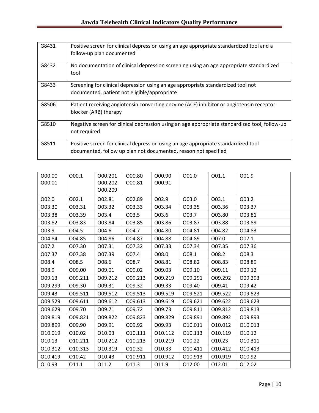| G8431 | Positive screen for clinical depression using an age appropriate standardized tool and a<br>follow-up plan documented                                 |
|-------|-------------------------------------------------------------------------------------------------------------------------------------------------------|
| G8432 | No documentation of clinical depression screening using an age appropriate standardized<br>tool                                                       |
| G8433 | Screening for clinical depression using an age appropriate standardized tool not<br>documented, patient not eligible/appropriate                      |
| G8506 | Patient receiving angiotensin converting enzyme (ACE) inhibitor or angiotensin receptor<br>blocker (ARB) therapy                                      |
| G8510 | Negative screen for clinical depression using an age appropriate standardized tool, follow-up<br>not required                                         |
| G8511 | Positive screen for clinical depression using an age appropriate standardized tool<br>documented, follow up plan not documented, reason not specified |

| 000.00<br>000.01 | 000.1   | 000.201<br>000.202<br>000.209 | 000.80<br>000.81 | O00.90<br>000.91 | 001.0   | 001.1   | 001.9   |
|------------------|---------|-------------------------------|------------------|------------------|---------|---------|---------|
| 002.0            | 002.1   | 002.81                        | 002.89           | 002.9            | 003.0   | 003.1   | 003.2   |
| 003.30           | 003.31  | 003.32                        | 003.33           | 003.34           | 003.35  | 003.36  | 003.37  |
| 003.38           | 003.39  | 003.4                         | 003.5            | 003.6            | 003.7   | 003.80  | 003.81  |
| 003.82           | 003.83  | 003.84                        | 003.85           | 003.86           | 003.87  | 003.88  | O03.89  |
| 003.9            | 004.5   | 004.6                         | 004.7            | O04.80           | 004.81  | 004.82  | O04.83  |
| O04.84           | 004.85  | O04.86                        | 004.87           | O04.88           | 004.89  | O07.0   | 007.1   |
| 007.2            | 007.30  | 007.31                        | 007.32           | 007.33           | 007.34  | 007.35  | 007.36  |
| 007.37           | 007.38  | 007.39                        | O07.4            | 008.0            | 008.1   | 008.2   | 008.3   |
| 008.4            | 008.5   | 008.6                         | 008.7            | 008.81           | 008.82  | O08.83  | O08.89  |
| O08.9            | O09.00  | 009.01                        | 009.02           | O09.03           | 009.10  | 009.11  | 009.12  |
| 009.13           | 009.211 | 009.212                       | 009.213          | 009.219          | 009.291 | 009.292 | 009.293 |
| O09.299          | O09.30  | 009.31                        | 009.32           | 009.33           | O09.40  | 009.41  | 009.42  |
| 009.43           | 009.511 | 009.512                       | 009.513          | 009.519          | 009.521 | 009.522 | 009.523 |
| 009.529          | 009.611 | 009.612                       | 009.613          | 009.619          | 009.621 | 009.622 | 009.623 |
| 009.629          | 009.70  | 009.71                        | 009.72           | 009.73           | 009.811 | 009.812 | 009.813 |
| 009.819          | 009.821 | 009.822                       | O09.823          | 009.829          | 009.891 | O09.892 | O09.893 |
| O09.899          | O09.90  | 009.91                        | 009.92           | O09.93           | 010.011 | 010.012 | 010.013 |
| 010.019          | 010.02  | 010.03                        | 010.111          | 010.112          | 010.113 | 010.119 | 010.12  |
| 010.13           | 010.211 | 010.212                       | 010.213          | 010.219          | 010.22  | 010.23  | 010.311 |
| 010.312          | 010.313 | 010.319                       | 010.32           | 010.33           | 010.411 | 010.412 | 010.413 |
| 010.419          | 010.42  | 010.43                        | 010.911          | 010.912          | 010.913 | 010.919 | 010.92  |
| 010.93           | 011.1   | 011.2                         | 011.3            | 011.9            | 012.00  | 012.01  | 012.02  |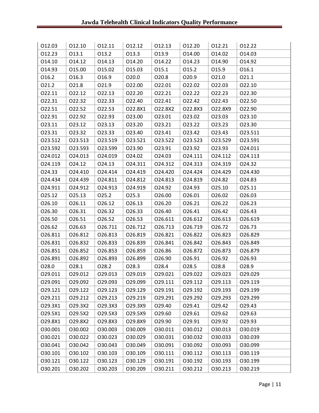| 012.03  | 012.10  | 012.11  | 012.12  | 012.13  | 012.20  | 012.21  | 012.22  |
|---------|---------|---------|---------|---------|---------|---------|---------|
| 012.23  | 013.1   | 013.2   | 013.3   | 013.9   | 014.00  | 014.02  | 014.03  |
| 014.10  | 014.12  | 014.13  | 014.20  | 014.22  | 014.23  | 014.90  | 014.92  |
| 014.93  | 015.00  | 015.02  | 015.03  | 015.1   | 015.2   | 015.9   | 016.1   |
| 016.2   | 016.3   | 016.9   | 020.0   | 020.8   | 020.9   | 021.0   | 021.1   |
| 021.2   | 021.8   | 021.9   | 022.00  | 022.01  | 022.02  | 022.03  | 022.10  |
| 022.11  | 022.12  | 022.13  | 022.20  | 022.21  | 022.22  | 022.23  | 022.30  |
| 022.31  | 022.32  | 022.33  | 022.40  | 022.41  | 022.42  | 022.43  | 022.50  |
| 022.51  | 022.52  | 022.53  | O22.8X1 | O22.8X2 | O22.8X3 | O22.8X9 | 022.90  |
| 022.91  | 022.92  | 022.93  | 023.00  | 023.01  | 023.02  | 023.03  | 023.10  |
| 023.11  | 023.12  | 023.13  | 023.20  | 023.21  | 023.22  | 023.23  | 023.30  |
| 023.31  | 023.32  | 023.33  | 023.40  | 023.41  | 023.42  | 023.43  | 023.511 |
| 023.512 | 023.513 | 023.519 | 023.521 | 023.522 | 023.523 | 023.529 | 023.591 |
| 023.592 | 023.593 | 023.599 | 023.90  | 023.91  | 023.92  | 023.93  | 024.011 |
| 024.012 | 024.013 | 024.019 | 024.02  | 024.03  | 024.111 | 024.112 | 024.113 |
| 024.119 | 024.12  | 024.13  | 024.311 | 024.312 | 024.313 | 024.319 | 024.32  |
| 024.33  | 024.410 | 024.414 | 024.419 | 024.420 | 024.424 | 024.429 | 024.430 |
| 024.434 | 024.439 | 024.811 | 024.812 | 024.813 | 024.819 | 024.82  | 024.83  |
| 024.911 | 024.912 | 024.913 | 024.919 | 024.92  | 024.93  | 025.10  | 025.11  |
| 025.12  | 025.13  | 025.2   | 025.3   | 026.00  | 026.01  | 026.02  | 026.03  |
| 026.10  | 026.11  | 026.12  | 026.13  | 026.20  | 026.21  | 026.22  | 026.23  |
| 026.30  | 026.31  | 026.32  | 026.33  | 026.40  | 026.41  | 026.42  | 026.43  |
| 026.50  | 026.51  | 026.52  | 026.53  | 026.611 | 026.612 | 026.613 | 026.619 |
| 026.62  | 026.63  | 026.711 | 026.712 | 026.713 | 026.719 | 026.72  | 026.73  |
| 026.811 | 026.812 | 026.813 | 026.819 | 026.821 | 026.822 | 026.823 | 026.829 |
| 026.831 | 026.832 | 026.833 | 026.839 | 026.841 | 026.842 | 026.843 | 026.849 |
| 026.851 | 026.852 | 026.853 | 026.859 | 026.86  | 026.872 | 026.873 | 026.879 |
| 026.891 | 026.892 | 026.893 | 026.899 | 026.90  | 026.91  | 026.92  | 026.93  |
| 028.0   | 028.1   | 028.2   | 028.3   | 028.4   | 028.5   | 028.8   | 028.9   |
| 029.011 | 029.012 | 029.013 | 029.019 | 029.021 | 029.022 | 029.023 | 029.029 |
| 029.091 | 029.092 | 029.093 | 029.099 | 029.111 | 029.112 | 029.113 | 029.119 |
| 029.121 | 029.122 | 029.123 | 029.129 | 029.191 | 029.192 | 029.193 | 029.199 |
| 029.211 | 029.212 | 029.213 | 029.219 | 029.291 | 029.292 | 029.293 | 029.299 |
| O29.3X1 | O29.3X2 | O29.3X3 | O29.3X9 | 029.40  | 029.41  | 029.42  | 029.43  |
| O29.5X1 | O29.5X2 | O29.5X3 | O29.5X9 | 029.60  | 029.61  | 029.62  | 029.63  |
| O29.8X1 | O29.8X2 | O29.8X3 | O29.8X9 | 029.90  | 029.91  | 029.92  | 029.93  |
| 030.001 | 030.002 | 030.003 | O30.009 | 030.011 | 030.012 | 030.013 | 030.019 |
| 030.021 | 030.022 | 030.023 | 030.029 | 030.031 | 030.032 | 030.033 | 030.039 |
| 030.041 | 030.042 | 030.043 | 030.049 | 030.091 | 030.092 | 030.093 | 030.099 |
| 030.101 | 030.102 | 030.103 | 030.109 | 030.111 | 030.112 | 030.113 | 030.119 |
| 030.121 | 030.122 | 030.123 | 030.129 | 030.191 | 030.192 | 030.193 | 030.199 |
| 030.201 | 030.202 | 030.203 | 030.209 | 030.211 | 030.212 | 030.213 | 030.219 |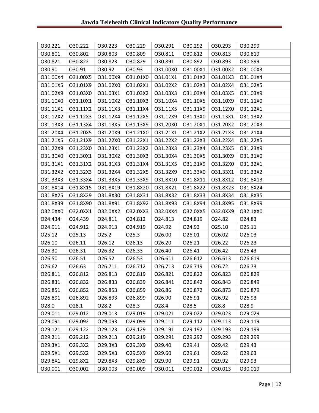| 030.221  | 030.222  | 030.223  | 030.229  | 030.291  | 030.292  | 030.293  | 030.299  |
|----------|----------|----------|----------|----------|----------|----------|----------|
| 030.801  | 030.802  | 030.803  | 030.809  | 030.811  | 030.812  | 030.813  | 030.819  |
| 030.821  | 030.822  | 030.823  | 030.829  | 030.891  | 030.892  | 030.893  | 030.899  |
| 030.90   | 030.91   | 030.92   | 030.93   | O31.00X0 | O31.00X1 | O31.00X2 | O31.00X3 |
| O31.00X4 | O31.00X5 | O31.00X9 | O31.01X0 | 031.01X1 | O31.01X2 | O31.01X3 | 031.01X4 |
| O31.01X5 | O31.01X9 | O31.02X0 | O31.02X1 | O31.02X2 | O31.02X3 | O31.02X4 | O31.02X5 |
| O31.02X9 | O31.03X0 | O31.03X1 | O31.03X2 | O31.03X3 | O31.03X4 | O31.03X5 | O31.03X9 |
| 031.10X0 | O31.10X1 | O31.10X2 | O31.10X3 | O31.10X4 | O31.10X5 | O31.10X9 | O31.11X0 |
| 031.11X1 | 031.11X2 | O31.11X3 | 031.11X4 | 031.11X5 | O31.11X9 | O31.12X0 | 031.12X1 |
| O31.12X2 | O31.12X3 | O31.12X4 | O31.12X5 | O31.12X9 | O31.13X0 | O31.13X1 | O31.13X2 |
| O31.13X3 | O31.13X4 | O31.13X5 | O31.13X9 | O31.20X0 | O31.20X1 | O31.20X2 | O31.20X3 |
| O31.20X4 | O31.20X5 | O31.20X9 | O31.21X0 | 031.21X1 | O31.21X2 | O31.21X3 | O31.21X4 |
| O31.21X5 | O31.21X9 | O31.22X0 | 031.22X1 | O31.22X2 | O31.22X3 | O31.22X4 | O31.22X5 |
| O31.22X9 | O31.23X0 | O31.23X1 | O31.23X2 | O31.23X3 | O31.23X4 | O31.23X5 | O31.23X9 |
| 031.30X0 | 031.30X1 | O31.30X2 | O31.30X3 | O31.30X4 | O31.30X5 | O31.30X9 | O31.31X0 |
| 031.31X1 | O31.31X2 | O31.31X3 | 031.31X4 | O31.31X5 | O31.31X9 | O31.32X0 | 031.32X1 |
| O31.32X2 | O31.32X3 | 031.32X4 | O31.32X5 | O31.32X9 | O31.33X0 | O31.33X1 | 031.33X2 |
| O31.33X3 | O31.33X4 | O31.33X5 | O31.33X9 | O31.8X10 | O31.8X11 | O31.8X12 | O31.8X13 |
| O31.8X14 | O31.8X15 | O31.8X19 | O31.8X20 | O31.8X21 | O31.8X22 | O31.8X23 | O31.8X24 |
| O31.8X25 | O31.8X29 | O31.8X30 | O31.8X31 | O31.8X32 | O31.8X33 | O31.8X34 | O31.8X35 |
| O31.8X39 | O31.8X90 | O31.8X91 | O31.8X92 | O31.8X93 | O31.8X94 | O31.8X95 | O31.8X99 |
| O32.0XX0 | 032.0XX1 | O32.0XX2 | O32.0XX3 | O32.0XX4 | O32.0XX5 | O32.0XX9 | 032.1XX0 |
| 024.434  | 024.439  | 024.811  | 024.812  | 024.813  | 024.819  | 024.82   | 024.83   |
| 024.911  | 024.912  | 024.913  | 024.919  | 024.92   | 024.93   | 025.10   | 025.11   |
| 025.12   | 025.13   | 025.2    | 025.3    | 026.00   | 026.01   | 026.02   | 026.03   |
| 026.10   | 026.11   | 026.12   | 026.13   | 026.20   | 026.21   | 026.22   | 026.23   |
| 026.30   | 026.31   | 026.32   | 026.33   | 026.40   | 026.41   | 026.42   | 026.43   |
| 026.50   | 026.51   | 026.52   | 026.53   | 026.611  | 026.612  | 026.613  | 026.619  |
| 026.62   | 026.63   | 026.711  | 026.712  | 026.713  | 026.719  | 026.72   | 026.73   |
| 026.811  | 026.812  | 026.813  | 026.819  | 026.821  | 026.822  | 026.823  | 026.829  |
| 026.831  | 026.832  | 026.833  | 026.839  | 026.841  | 026.842  | 026.843  | 026.849  |
| 026.851  | 026.852  | 026.853  | 026.859  | 026.86   | 026.872  | 026.873  | 026.879  |
| 026.891  | 026.892  | 026.893  | 026.899  | 026.90   | 026.91   | 026.92   | 026.93   |
| 028.0    | 028.1    | 028.2    | 028.3    | 028.4    | 028.5    | 028.8    | 028.9    |
| 029.011  | 029.012  | 029.013  | 029.019  | 029.021  | 029.022  | 029.023  | 029.029  |
| 029.091  | 029.092  | 029.093  | 029.099  | 029.111  | 029.112  | 029.113  | 029.119  |
| 029.121  | 029.122  | 029.123  | 029.129  | 029.191  | 029.192  | 029.193  | 029.199  |
| 029.211  | 029.212  | 029.213  | 029.219  | 029.291  | 029.292  | 029.293  | 029.299  |
| O29.3X1  | O29.3X2  | O29.3X3  | O29.3X9  | 029.40   | 029.41   | 029.42   | 029.43   |
| O29.5X1  | O29.5X2  | O29.5X3  | O29.5X9  | 029.60   | 029.61   | 029.62   | 029.63   |
| O29.8X1  | O29.8X2  | O29.8X3  | O29.8X9  | 029.90   | 029.91   | 029.92   | 029.93   |
| 030.001  | 030.002  | 030.003  | 030.009  | 030.011  | 030.012  | 030.013  | 030.019  |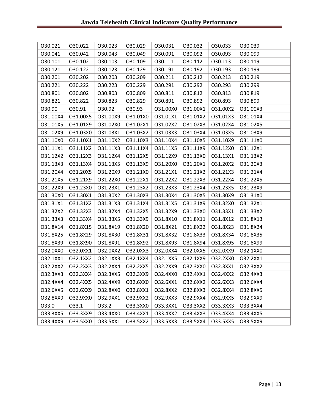| 030.021  | 030.022  | 030.023  | 030.029  | 030.031  | 030.032  | 030.033  | 030.039  |
|----------|----------|----------|----------|----------|----------|----------|----------|
| 030.041  | 030.042  | 030.043  | 030.049  | 030.091  | 030.092  | 030.093  | 030.099  |
| 030.101  | 030.102  | 030.103  | 030.109  | 030.111  | 030.112  | 030.113  | 030.119  |
| 030.121  | 030.122  | 030.123  | 030.129  | 030.191  | 030.192  | 030.193  | 030.199  |
| 030.201  | 030.202  | 030.203  | 030.209  | 030.211  | 030.212  | 030.213  | 030.219  |
| 030.221  | 030.222  | 030.223  | 030.229  | 030.291  | 030.292  | 030.293  | 030.299  |
| 030.801  | 030.802  | O30.803  | 030.809  | 030.811  | 030.812  | 030.813  | 030.819  |
| 030.821  | 030.822  | 030.823  | 030.829  | 030.891  | 030.892  | 030.893  | 030.899  |
| 030.90   | 030.91   | 030.92   | 030.93   | O31.00X0 | O31.00X1 | O31.00X2 | O31.00X3 |
| O31.00X4 | O31.00X5 | O31.00X9 | O31.01X0 | O31.01X1 | O31.01X2 | O31.01X3 | 031.01X4 |
| O31.01X5 | O31.01X9 | O31.02X0 | O31.02X1 | O31.02X2 | O31.02X3 | O31.02X4 | O31.02X5 |
| O31.02X9 | O31.03X0 | 031.03X1 | O31.03X2 | O31.03X3 | O31.03X4 | O31.03X5 | O31.03X9 |
| O31.10X0 | 031.10X1 | O31.10X2 | O31.10X3 | 031.10X4 | O31.10X5 | O31.10X9 | O31.11X0 |
| 031.11X1 | 031.11X2 | O31.11X3 | 031.11X4 | 031.11X5 | O31.11X9 | 031.12X0 | 031.12X1 |
| O31.12X2 | O31.12X3 | O31.12X4 | O31.12X5 | O31.12X9 | O31.13X0 | 031.13X1 | O31.13X2 |
| O31.13X3 | O31.13X4 | O31.13X5 | O31.13X9 | O31.20X0 | 031.20X1 | O31.20X2 | O31.20X3 |
| O31.20X4 | O31.20X5 | O31.20X9 | 031.21X0 | 031.21X1 | O31.21X2 | O31.21X3 | 031.21X4 |
| O31.21X5 | O31.21X9 | O31.22X0 | 031.22X1 | O31.22X2 | O31.22X3 | O31.22X4 | O31.22X5 |
| O31.22X9 | O31.23X0 | O31.23X1 | O31.23X2 | O31.23X3 | O31.23X4 | O31.23X5 | O31.23X9 |
| O31.30X0 | 031.30X1 | O31.30X2 | O31.30X3 | O31.30X4 | O31.30X5 | O31.30X9 | 031.31X0 |
| 031.31X1 | 031.31X2 | O31.31X3 | 031.31X4 | O31.31X5 | O31.31X9 | O31.32X0 | 031.32X1 |
| O31.32X2 | O31.32X3 | O31.32X4 | O31.32X5 | O31.32X9 | O31.33X0 | 031.33X1 | O31.33X2 |
| O31.33X3 | 031.33X4 | 031.33X5 | O31.33X9 | O31.8X10 | O31.8X11 | O31.8X12 | O31.8X13 |
| O31.8X14 | O31.8X15 | O31.8X19 | O31.8X20 | 031.8X21 | O31.8X22 | O31.8X23 | O31.8X24 |
| O31.8X25 | O31.8X29 | O31.8X30 | O31.8X31 | O31.8X32 | O31.8X33 | O31.8X34 | O31.8X35 |
| O31.8X39 | O31.8X90 | O31.8X91 | O31.8X92 | O31.8X93 | O31.8X94 | O31.8X95 | O31.8X99 |
| 032.0XX0 | 032.0XX1 | O32.0XX2 | O32.0XX3 | O32.0XX4 | O32.0XX5 | O32.0XX9 | 032.1XX0 |
| 032.1XX1 | O32.1XX2 | O32.1XX3 | O32.1XX4 | O32.1XX5 | O32.1XX9 | O32.2XX0 | 032.2XX1 |
| O32.2XX2 | O32.2XX3 | O32.2XX4 | O32.2XX5 | O32.2XX9 | 032.3XX0 | 032.3XX1 | 032.3XX2 |
| O32.3XX3 | O32.3XX4 | O32.3XX5 | O32.3XX9 | O32.4XX0 | O32.4XX1 | O32.4XX2 | O32.4XX3 |
| O32.4XX4 | O32.4XX5 | O32.4XX9 | O32.6XX0 | 032.6XX1 | O32.6XX2 | O32.6XX3 | O32.6XX4 |
| O32.6XX5 | O32.6XX9 | 032.8XX0 | 032.8XX1 | O32.8XX2 | O32.8XX3 | O32.8XX4 | O32.8XX5 |
| O32.8XX9 | O32.9XX0 | 032.9XX1 | O32.9XX2 | O32.9XX3 | O32.9XX4 | O32.9XX5 | O32.9XX9 |
| 033.0    | 033.1    | 033.2    | 033.3XX0 | 033.3XX1 | 033.3XX2 | O33.3XX3 | 033.3XX4 |
| 033.3XX5 | 033.3XX9 | 033.4XX0 | 033.4XX1 | O33.4XX2 | O33.4XX3 | 033.4XX4 | O33.4XX5 |
| O33.4XX9 | 033.5XX0 | 033.5XX1 | 033.5XX2 | 033.5XX3 | 033.5XX4 | O33.5XX5 | O33.5XX9 |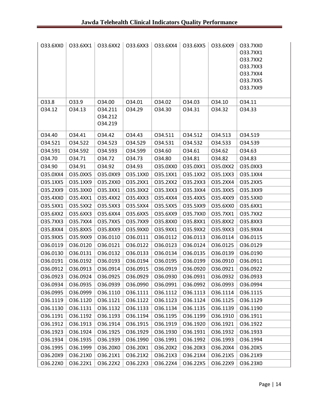| 033.6XX0 | 033.6XX1 | O33.6XX2                      | O33.6XX3 | O33.6XX4 | O33.6XX5 | O33.6XX9 | 033.7XX0<br>033.7XX1<br>033.7XX2<br>033.7XX3<br>033.7XX4<br>033.7XX5<br>033.7XX9 |
|----------|----------|-------------------------------|----------|----------|----------|----------|----------------------------------------------------------------------------------|
| 033.8    | 033.9    | 034.00                        | 034.01   | 034.02   | 034.03   | 034.10   | 034.11                                                                           |
| 034.12   | 034.13   | 034.211<br>034.212<br>034.219 | 034.29   | 034.30   | 034.31   | 034.32   | 034.33                                                                           |
| 034.40   | 034.41   | 034.42                        | 034.43   | 034.511  | 034.512  | 034.513  | 034.519                                                                          |
| 034.521  | 034.522  | 034.523                       | 034.529  | 034.531  | 034.532  | 034.533  | 034.539                                                                          |
| 034.591  | 034.592  | 034.593                       | 034.599  | 034.60   | 034.61   | 034.62   | 034.63                                                                           |
| 034.70   | 034.71   | 034.72                        | 034.73   | 034.80   | 034.81   | 034.82   | 034.83                                                                           |
| 034.90   | 034.91   | 034.92                        | 034.93   | O35.0XX0 | O35.0XX1 | O35.0XX2 | O35.0XX3                                                                         |
| O35.0XX4 | O35.0XX5 | O35.0XX9                      | O35.1XX0 | 035.1XX1 | O35.1XX2 | O35.1XX3 | O35.1XX4                                                                         |
| O35.1XX5 | O35.1XX9 | 035.2XX0                      | 035.2XX1 | O35.2XX2 | O35.2XX3 | O35.2XX4 | O35.2XX5                                                                         |
| O35.2XX9 | O35.3XX0 | 035.3XX1                      | O35.3XX2 | O35.3XX3 | O35.3XX4 | O35.3XX5 | O35.3XX9                                                                         |
| O35.4XX0 | 035.4XX1 | O35.4XX2                      | O35.4XX3 | O35.4XX4 | O35.4XX5 | O35.4XX9 | 035.5XX0                                                                         |
| 035.5XX1 | O35.5XX2 | O35.5XX3                      | O35.5XX4 | O35.5XX5 | O35.5XX9 | O35.6XX0 | 035.6XX1                                                                         |
| O35.6XX2 | O35.6XX3 | O35.6XX4                      | O35.6XX5 | O35.6XX9 | 035.7XX0 | 035.7XX1 | O35.7XX2                                                                         |
| 035.7XX3 | O35.7XX4 | O35.7XX5                      | O35.7XX9 | O35.8XX0 | O35.8XX1 | O35.8XX2 | O35.8XX3                                                                         |
| O35.8XX4 | O35.8XX5 | O35.8XX9                      | O35.9XX0 | 035.9XX1 | O35.9XX2 | O35.9XX3 | O35.9XX4                                                                         |
| O35.9XX5 | O35.9XX9 | 036.0110                      | 036.0111 | 036.0112 | 036.0113 | 036.0114 | 036.0115                                                                         |
| 036.0119 | 036.0120 | 036.0121                      | 036.0122 | 036.0123 | 036.0124 | 036.0125 | 036.0129                                                                         |
| 036.0130 | 036.0131 | 036.0132                      | 036.0133 | 036.0134 | 036.0135 | 036.0139 | 036.0190                                                                         |
| 036.0191 | 036.0192 | 036.0193                      | 036.0194 | 036.0195 | 036.0199 | 036.0910 | 036.0911                                                                         |
| 036.0912 | 036.0913 | 036.0914                      | 036.0915 | 036.0919 | 036.0920 | 036.0921 | 036.0922                                                                         |
| 036.0923 | 036.0924 | 036.0925                      | 036.0929 | 036.0930 | 036.0931 | 036.0932 | 036.0933                                                                         |
| 036.0934 | 036.0935 | 036.0939                      | 036.0990 | 036.0991 | 036.0992 | O36.0993 | 036.0994                                                                         |
| 036.0995 | 036.0999 | 036.1110                      | 036.1111 | 036.1112 | 036.1113 | 036.1114 | 036.1115                                                                         |
| 036.1119 | 036.1120 | 036.1121                      | 036.1122 | 036.1123 | 036.1124 | 036.1125 | 036.1129                                                                         |
| 036.1130 | 036.1131 | 036.1132                      | 036.1133 | 036.1134 | 036.1135 | 036.1139 | 036.1190                                                                         |
| 036.1191 | 036.1192 | 036.1193                      | 036.1194 | 036.1195 | 036.1199 | 036.1910 | 036.1911                                                                         |
| 036.1912 | 036.1913 | 036.1914                      | 036.1915 | 036.1919 | 036.1920 | 036.1921 | 036.1922                                                                         |
| 036.1923 | 036.1924 | 036.1925                      | 036.1929 | 036.1930 | 036.1931 | 036.1932 | 036.1933                                                                         |
| 036.1934 | 036.1935 | 036.1939                      | 036.1990 | 036.1991 | 036.1992 | 036.1993 | 036.1994                                                                         |
| 036.1995 | 036.1999 | O36.20X0                      | O36.20X1 | O36.20X2 | O36.20X3 | O36.20X4 | O36.20X5                                                                         |
| O36.20X9 | O36.21X0 | O36.21X1                      | O36.21X2 | O36.21X3 | O36.21X4 | O36.21X5 | O36.21X9                                                                         |
| O36.22X0 | O36.22X1 | O36.22X2                      | O36.22X3 | O36.22X4 | O36.22X5 | O36.22X9 | O36.23X0                                                                         |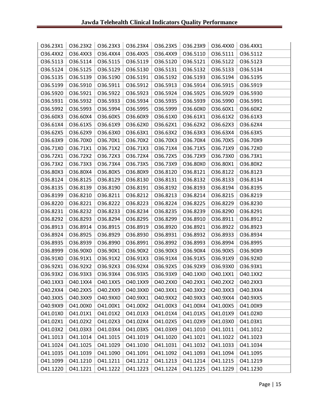| O36.23X1 | O36.23X2 | O36.23X3 | O36.23X4 | O36.23X5         | O36.23X9 | O36.4XX0 | O36.4XX1 |
|----------|----------|----------|----------|------------------|----------|----------|----------|
| O36.4XX2 | O36.4XX3 | O36.4XX4 | O36.4XX5 | O36.4XX9         | 036.5110 | 036.5111 | 036.5112 |
| 036.5113 | 036.5114 | 036.5115 | 036.5119 | 036.5120         | 036.5121 | 036.5122 | 036.5123 |
| 036.5124 | 036.5125 | 036.5129 | 036.5130 | 036.5131         | 036.5132 | 036.5133 | 036.5134 |
| 036.5135 | 036.5139 | 036.5190 | 036.5191 | 036.5192         | 036.5193 | 036.5194 | 036.5195 |
| 036.5199 | 036.5910 | 036.5911 | 036.5912 | 036.5913         | 036.5914 | 036.5915 | 036.5919 |
| 036.5920 | 036.5921 | 036.5922 | 036.5923 | 036.5924         | 036.5925 | 036.5929 | 036.5930 |
| 036.5931 | 036.5932 | 036.5933 | 036.5934 | 036.5935         | 036.5939 | 036.5990 | 036.5991 |
| 036.5992 | 036.5993 | 036.5994 | 036.5995 | 036.5999         | O36.60X0 | O36.60X1 | O36.60X2 |
| O36.60X3 | O36.60X4 | O36.60X5 | O36.60X9 | O36.61X0         | O36.61X1 | O36.61X2 | O36.61X3 |
| O36.61X4 | O36.61X5 | O36.61X9 | O36.62X0 | O36.62X1         | O36.62X2 | O36.62X3 | O36.62X4 |
| O36.62X5 | O36.62X9 | O36.63X0 | O36.63X1 | O36.63X2         | O36.63X3 | O36.63X4 | O36.63X5 |
| O36.63X9 | O36.70X0 | O36.70X1 | O36.70X2 | O36.70X3         | O36.70X4 | O36.70X5 | O36.70X9 |
| O36.71X0 | O36.71X1 | O36.71X2 | O36.71X3 | O36.71X4         | O36.71X5 | O36.71X9 | O36.72X0 |
| O36.72X1 | O36.72X2 | O36.72X3 | O36.72X4 | O36.72X5         | O36.72X9 | O36.73X0 | O36.73X1 |
| O36.73X2 | O36.73X3 | O36.73X4 | O36.73X5 | O36.73X9         | O36.80X0 | O36.80X1 | O36.80X2 |
| O36.80X3 | O36.80X4 | O36.80X5 | O36.80X9 | 036.8120         | 036.8121 | 036.8122 | 036.8123 |
| 036.8124 | 036.8125 | 036.8129 | 036.8130 | 036.8131         | 036.8132 | 036.8133 | 036.8134 |
| 036.8135 | 036.8139 | 036.8190 | 036.8191 | 036.8192         | 036.8193 | 036.8194 | 036.8195 |
| 036.8199 | 036.8210 | 036.8211 | 036.8212 | 036.8213         | 036.8214 | 036.8215 | 036.8219 |
| 036.8220 | 036.8221 | 036.8222 | 036.8223 | 036.8224         | 036.8225 | 036.8229 | 036.8230 |
| 036.8231 | 036.8232 | 036.8233 | 036.8234 | 036.8235         | 036.8239 | 036.8290 | 036.8291 |
| 036.8292 | 036.8293 | 036.8294 | 036.8295 | 036.8299         | 036.8910 | 036.8911 | 036.8912 |
| 036.8913 | 036.8914 | 036.8915 | 036.8919 | 036.8920         | 036.8921 | 036.8922 | 036.8923 |
| 036.8924 | 036.8925 | 036.8929 | 036.8930 | 036.8931         | 036.8932 | 036.8933 | 036.8934 |
| 036.8935 | 036.8939 | 036.8990 | 036.8991 | 036.8992         | 036.8993 | 036.8994 | 036.8995 |
| 036.8999 | O36.90X0 | O36.90X1 | O36.90X2 | O36.90X3         | O36.90X4 | O36.90X5 | O36.90X9 |
| O36.91X0 | O36.91X1 | O36.91X2 | O36.91X3 | O36.91X4         | O36.91X5 | O36.91X9 | O36.92X0 |
| O36.92X1 | O36.92X2 | O36.92X3 | O36.92X4 | O36.92X5         | O36.92X9 | O36.93X0 | O36.93X1 |
| O36.93X2 | O36.93X3 | O36.93X4 | O36.93X5 | $\vert$ O36.93X9 | O40.1XX0 | O40.1XX1 | O40.1XX2 |
| O40.1XX3 | 040.1XX4 | O40.1XX5 | O40.1XX9 | O40.2XX0         | 040.2XX1 | O40.2XX2 | O40.2XX3 |
| O40.2XX4 | O40.2XX5 | O40.2XX9 | 040.3XX0 | 040.3XX1         | O40.3XX2 | O40.3XX3 | O40.3XX4 |
| O40.3XX5 | O40.3XX9 | O40.9XX0 | 040.9XX1 | O40.9XX2         | O40.9XX3 | O40.9XX4 | O40.9XX5 |
| O40.9XX9 | O41.00X0 | 041.00X1 | O41.00X2 | O41.00X3         | O41.00X4 | O41.00X5 | O41.00X9 |
| O41.01X0 | O41.01X1 | O41.01X2 | O41.01X3 | O41.01X4         | O41.01X5 | O41.01X9 | O41.02X0 |
| 041.02X1 | O41.02X2 | O41.02X3 | O41.02X4 | O41.02X5         | O41.02X9 | O41.03X0 | O41.03X1 |
| O41.03X2 | O41.03X3 | O41.03X4 | O41.03X5 | O41.03X9         | 041.1010 | 041.1011 | 041.1012 |
| 041.1013 | 041.1014 | 041.1015 | 041.1019 | 041.1020         | 041.1021 | 041.1022 | 041.1023 |
| 041.1024 | 041.1025 | 041.1029 | 041.1030 | 041.1031         | 041.1032 | 041.1033 | 041.1034 |
| 041.1035 | 041.1039 | 041.1090 | 041.1091 | 041.1092         | 041.1093 | 041.1094 | 041.1095 |
| 041.1099 | 041.1210 | 041.1211 | 041.1212 | 041.1213         | 041.1214 | 041.1215 | 041.1219 |
| 041.1220 | 041.1221 | 041.1222 | 041.1223 | 041.1224         | 041.1225 | 041.1229 | 041.1230 |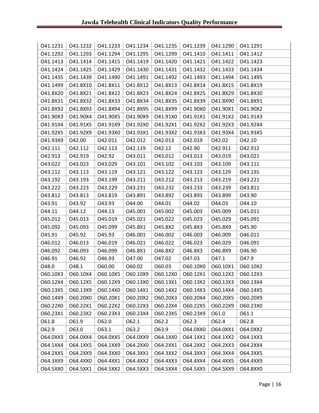| 041.1231 | 041.1232 | 041.1233                                    | 041.1234 | 041.1235                 | 041.1239 | 041.1290 | 041.1291 |
|----------|----------|---------------------------------------------|----------|--------------------------|----------|----------|----------|
| 041.1292 | 041.1293 | 041.1294                                    | 041.1295 | 041.1299                 | 041.1410 | 041.1411 | 041.1412 |
| 041.1413 | 041.1414 | 041.1415                                    | 041.1419 | 041.1420                 | 041.1421 | 041.1422 | 041.1423 |
| 041.1424 | 041.1425 | 041.1429                                    | 041.1430 | 041.1431                 | 041.1432 | 041.1433 | 041.1434 |
| 041.1435 | 041.1439 | O41.1490                                    | 041.1491 | 041.1492                 | 041.1493 | 041.1494 | 041.1495 |
| 041.1499 | O41.8X10 | O41.8X11                                    | O41.8X12 | O41.8X13                 | O41.8X14 | O41.8X15 | O41.8X19 |
| O41.8X20 | O41.8X21 | O41.8X22                                    | O41.8X23 | O41.8X24                 | O41.8X25 | O41.8X29 | O41.8X30 |
| 041.8X31 | O41.8X32 | O41.8X33                                    | O41.8X34 | O41.8X35                 | O41.8X39 | O41.8X90 | O41.8X91 |
| O41.8X92 | O41.8X93 | O41.8X94                                    | O41.8X95 | O41.8X99                 | O41.90X0 | O41.90X1 | 041.90X2 |
| O41.90X3 | O41.90X4 | O41.90X5                                    | O41.90X9 | O41.91X0                 | 041.91X1 | O41.91X2 | O41.91X3 |
| O41.91X4 | O41.91X5 | O41.91X9                                    | O41.92X0 | 041.92X1                 | O41.92X2 | O41.92X3 | 041.92X4 |
| O41.92X5 | O41.92X9 | O41.93X0                                    | O41.93X1 | O41.93X2                 | O41.93X3 | O41.93X4 | O41.93X5 |
| O41.93X9 | 042.00   | 042.011                                     | 042.012  | 042.013                  | 042.019  | 042.02   | 042.10   |
| 042.111  | 042.112  | 042.113                                     | 042.119  | 042.12                   | 042.90   | 042.911  | 042.912  |
| 042.913  | 042.919  | 042.92                                      | 043.011  | 043.012                  | 043.013  | 043.019  | 043.021  |
| 043.022  | 043.023  | 043.029                                     | 043.101  | 043.102                  | 043.103  | 043.109  | 043.111  |
| 043.112  | 043.113  | 043.119                                     | 043.121  | 043.122                  | 043.123  | 043.129  | 043.191  |
| 043.192  | 043.193  | 043.199                                     | 043.211  | 043.212                  | 043.213  | 043.219  | 043.221  |
| 043.222  | 043.223  | 043.229                                     | 043.231  | 043.232                  | 043.233  | 043.239  | 043.811  |
| 043.812  | 043.813  | 043.819                                     | 043.891  | 043.892                  | 043.893  | 043.899  | 043.90   |
| 043.91   | 043.92   | 043.93                                      | O44.00   | 044.01                   | 044.02   | 044.03   | 044.10   |
| 044.11   | 044.12   | 044.13                                      | 045.001  | O45.002                  | O45.003  | O45.009  | 045.011  |
| 045.012  | 045.013  | 045.019                                     | 045.021  | 045.022                  | 045.023  | O45.029  | 045.091  |
| 045.092  | O45.093  | O45.099                                     | O45.8X1  | O45.8X2                  | O45.8X3  | O45.8X9  | O45.90   |
| 045.91   | 045.92   | 045.93                                      | O46.001  | O46.002                  | O46.003  | O46.009  | 046.011  |
| 046.012  | 046.013  | O46.019                                     | 046.021  | O46.022                  | O46.023  | O46.029  | 046.091  |
| 046.092  | O46.093  | O46.099                                     | O46.8X1  | O46.8X2                  | O46.8X3  | O46.8X9  | O46.90   |
| 046.91   | 046.92   | 046.93                                      | 047.00   | 047.02                   | 047.03   | 047.1    | 047.9    |
| 048.0    | 048.1    | O60.00                                      | 060.02   | O60.03                   | O60.10X0 | O60.10X1 | O60.10X2 |
|          |          | $060.10X3   060.10X4   060.10X5   060.10X9$ |          | $\vert$ O60.12X0 $\vert$ | O60.12X1 | O60.12X2 | O60.12X3 |
| O60.12X4 | O60.12X5 | O60.12X9                                    | O60.13X0 | O60.13X1                 | O60.13X2 | O60.13X3 | O60.13X4 |
| O60.13X5 | O60.13X9 | O60.14X0                                    | O60.14X1 | O60.14X2                 | O60.14X3 | O60.14X4 | O60.14X5 |
| O60.14X9 | O60.20X0 | O60.20X1                                    | O60.20X2 | O60.20X3                 | O60.20X4 | O60.20X5 | O60.20X9 |
| O60.22X0 | O60.22X1 | O60.22X2                                    | O60.22X3 | O60.22X4                 | O60.22X5 | O60.22X9 | O60.23X0 |
| O60.23X1 | O60.23X2 | O60.23X3                                    | O60.23X4 | O60.23X5                 | O60.23X9 | 061.0    | 061.1    |
| 061.8    | 061.9    | 062.0                                       | 062.1    | 062.2                    | 062.3    | 062.4    | O62.8    |
| O62.9    | 063.0    | 063.1                                       | 063.2    | O63.9                    | O64.0XX0 | O64.0XX1 | O64.0XX2 |
| O64.0XX3 | O64.0XX4 | O64.0XX5                                    | O64.0XX9 | O64.1XX0                 | 064.1XX1 | O64.1XX2 | O64.1XX3 |
| O64.1XX4 | O64.1XX5 | O64.1XX9                                    | O64.2XX0 | O64.2XX1                 | O64.2XX2 | O64.2XX3 | O64.2XX4 |
| O64.2XX5 | O64.2XX9 | O64.3XX0                                    | 064.3XX1 | O64.3XX2                 | O64.3XX3 | O64.3XX4 | O64.3XX5 |
| O64.3XX9 | O64.4XX0 | O64.4XX1                                    | O64.4XX2 | O64.4XX3                 | O64.4XX4 | O64.4XX5 | O64.4XX9 |
| O64.5XX0 | O64.5XX1 | O64.5XX2                                    | O64.5XX3 | O64.5XX4                 | O64.5XX5 | O64.5XX9 | O64.8XX0 |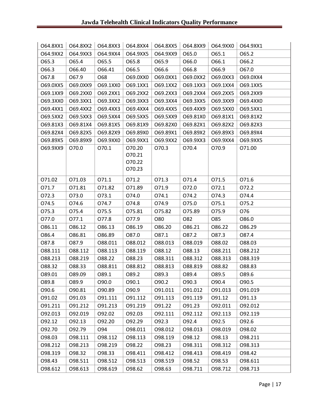| O64.8XX1 | O64.8XX2 | O64.8XX3 | O64.8XX4                   | O64.8XX5 | O64.8XX9 | O64.9XX0 | O64.9XX1 |
|----------|----------|----------|----------------------------|----------|----------|----------|----------|
| O64.9XX2 | O64.9XX3 | O64.9XX4 | O64.9XX5                   | O64.9XX9 | O65.0    | 065.1    | 065.2    |
| 065.3    | 065.4    | 065.5    | 065.8                      | 065.9    | O66.0    | 066.1    | O66.2    |
| 066.3    | 066.40   | 066.41   | 066.5                      | 066.6    | 066.8    | 066.9    | 067.0    |
| 067.8    | 067.9    | O68      | O69.0XX0                   | O69.0XX1 | O69.0XX2 | O69.0XX3 | O69.0XX4 |
| O69.0XX5 | O69.0XX9 | O69.1XX0 | O69.1XX1                   | O69.1XX2 | O69.1XX3 | O69.1XX4 | O69.1XX5 |
| O69.1XX9 | O69.2XX0 | O69.2XX1 | O69.2XX2                   | O69.2XX3 | O69.2XX4 | O69.2XX5 | O69.2XX9 |
| O69.3XX0 | O69.3XX1 | O69.3XX2 | O69.3XX3                   | O69.3XX4 | O69.3XX5 | O69.3XX9 | O69.4XX0 |
| O69.4XX1 | O69.4XX2 | O69.4XX3 | O69.4XX4                   | O69.4XX5 | O69.4XX9 | O69.5XX0 | O69.5XX1 |
| O69.5XX2 | O69.5XX3 | O69.5XX4 | O69.5XX5                   | O69.5XX9 | O69.81X0 | O69.81X1 | O69.81X2 |
| O69.81X3 | O69.81X4 | O69.81X5 | O69.81X9                   | O69.82X0 | O69.82X1 | O69.82X2 | O69.82X3 |
| O69.82X4 | O69.82X5 | O69.82X9 | O69.89X0                   | O69.89X1 | O69.89X2 | O69.89X3 | O69.89X4 |
| O69.89X5 | O69.89X9 | O69.9XX0 | O69.9XX1                   | O69.9XX2 | O69.9XX3 | O69.9XX4 | O69.9XX5 |
| O69.9XX9 | 070.0    | 070.1    | 070.20<br>070.21<br>070.22 | 070.3    | 070.4    | 070.9    | 071.00   |
|          |          |          | 070.23                     |          |          |          |          |
| 071.02   | 071.03   | 071.1    | 071.2                      | 071.3    | 071.4    | 071.5    | 071.6    |
| 071.7    | 071.81   | 071.82   | 071.89                     | 071.9    | 072.0    | 072.1    | 072.2    |
| 072.3    | 073.0    | 073.1    | 074.0                      | 074.1    | 074.2    | 074.3    | 074.4    |
| 074.5    | 074.6    | 074.7    | 074.8                      | 074.9    | 075.0    | 075.1    | 075.2    |
| 075.3    | 075.4    | 075.5    | 075.81                     | 075.82   | 075.89   | 075.9    | O76      |
| 077.0    | 077.1    | 077.8    | 077.9                      | O80      | O82      | O85      | O86.0    |
| 086.11   | 086.12   | 086.13   | 086.19                     | 086.20   | 086.21   | 086.22   | 086.29   |
| 086.4    | 086.81   | O86.89   | 087.0                      | 087.1    | 087.2    | 087.3    | 087.4    |
| 087.8    | 087.9    | 088.011  | 088.012                    | 088.013  | 088.019  | 088.02   | 088.03   |
| 088.111  | 088.112  | 088.113  | 088.119                    | 088.12   | 088.13   | 088.211  | 088.212  |
| 088.213  | 088.219  | 088.22   | 088.23                     | 088.311  | 088.312  | 088.313  | 088.319  |
| 088.32   | 088.33   | 088.811  | 088.812                    | 088.813  | 088.819  | 088.82   | 088.83   |
| 089.01   | O89.09   | 089.1    | O89.2                      | O89.3    | 089.4    | 089.5    | 089.6    |
| O89.8    | 089.9    | 090.0    | 090.1                      | 090.2    | 090.3    | 090.4    | 090.5    |
| 090.6    | 090.81   | 090.89   | 090.9                      | 091.011  | 091.012  | 091.013  | 091.019  |
| 091.02   | 091.03   | 091.111  | 091.112                    | 091.113  | 091.119  | 091.12   | 091.13   |
| 091.211  | 091.212  | 091.213  | 091.219                    | 091.22   | 091.23   | 092.011  | 092.012  |
| 092.013  | 092.019  | 092.02   | 092.03                     | 092.111  | 092.112  | 092.113  | 092.119  |
| 092.12   | 092.13   | 092.20   | 092.29                     | 092.3    | 092.4    | 092.5    | 092.6    |
| 092.70   | 092.79   | O94      | 098.011                    | 098.012  | 098.013  | 098.019  | 098.02   |
| 098.03   | 098.111  | 098.112  | 098.113                    | 098.119  | 098.12   | 098.13   | 098.211  |
| 098.212  | 098.213  | 098.219  | 098.22                     | 098.23   | 098.311  | 098.312  | 098.313  |
| 098.319  | 098.32   | 098.33   | 098.411                    | 098.412  | 098.413  | 098.419  | 098.42   |
| 098.43   | 098.511  | 098.512  | 098.513                    | 098.519  | 098.52   | 098.53   | 098.611  |
| 098.612  | 098.613  | 098.619  | 098.62                     | 098.63   | 098.711  | 098.712  | 098.713  |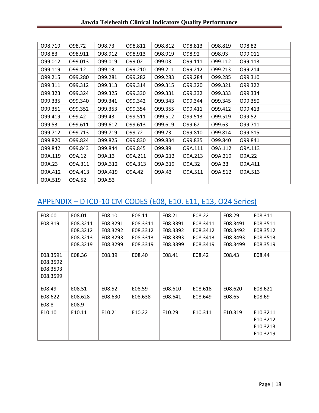| 098.719 | 098.72  | 098.73  | 098.811 | 098.812 | 098.813 | 098.819 | 098.82  |
|---------|---------|---------|---------|---------|---------|---------|---------|
| 098.83  | 098.911 | 098.912 | 098.913 | 098.919 | 098.92  | 098.93  | 099.011 |
| 099.012 | 099.013 | 099.019 | 099.02  | 099.03  | 099.111 | 099.112 | 099.113 |
| 099.119 | 099.12  | 099.13  | 099.210 | 099.211 | 099.212 | 099.213 | 099.214 |
| 099.215 | 099.280 | 099.281 | 099.282 | 099.283 | 099.284 | 099.285 | 099.310 |
| 099.311 | 099.312 | 099.313 | 099.314 | 099.315 | 099.320 | 099.321 | 099.322 |
| 099.323 | 099.324 | 099.325 | 099.330 | 099.331 | 099.332 | 099.333 | 099.334 |
| 099.335 | 099.340 | 099.341 | 099.342 | 099.343 | 099.344 | 099.345 | 099.350 |
| 099.351 | 099.352 | 099.353 | 099.354 | 099.355 | 099.411 | 099.412 | 099.413 |
| 099.419 | 099.42  | 099.43  | 099.511 | 099.512 | 099.513 | 099.519 | 099.52  |
| 099.53  | 099.611 | 099.612 | 099.613 | 099.619 | 099.62  | 099.63  | 099.711 |
| 099.712 | 099.713 | 099.719 | 099.72  | 099.73  | 099.810 | 099.814 | 099.815 |
| 099.820 | 099.824 | 099.825 | 099.830 | 099.834 | 099.835 | 099.840 | 099.841 |
| 099.842 | 099.843 | 099.844 | 099.845 | 099.89  | 09A.111 | 09A.112 | 09A.113 |
| 09A.119 | O9A.12  | O9A.13  | O9A.211 | O9A.212 | 09A.213 | O9A.219 | O9A.22  |
| O9A.23  | 09A.311 | O9A.312 | O9A.313 | O9A.319 | O9A.32  | O9A.33  | O9A.411 |
| O9A.412 | O9A.413 | O9A.419 | O9A.42  | O9A.43  | 09A.511 | O9A.512 | O9A.513 |
| O9A.519 | O9A.52  | O9A.53  |         |         |         |         |         |

# APPENDIX – D ICD-10 CM CODES (E08, E10. E11, E13, O24 Series)

| E08.00   | E08.01   | E08.10   | E08.11   | E08.21   | E08.22   | E08.29   | E08.311  |
|----------|----------|----------|----------|----------|----------|----------|----------|
| E08.319  | E08.3211 | E08.3291 | E08.3311 | E08.3391 | E08.3411 | E08.3491 | E08.3511 |
|          | E08.3212 | E08.3292 | E08.3312 | E08.3392 | E08.3412 | E08.3492 | E08.3512 |
|          | E08.3213 | E08.3293 | E08.3313 | E08.3393 | E08.3413 | E08.3493 | E08.3513 |
|          | E08.3219 | E08.3299 | E08.3319 | E08.3399 | E08.3419 | E08.3499 | E08.3519 |
| E08.3591 | E08.36   | E08.39   | E08.40   | E08.41   | E08.42   | E08.43   | E08.44   |
| E08.3592 |          |          |          |          |          |          |          |
| E08.3593 |          |          |          |          |          |          |          |
| E08.3599 |          |          |          |          |          |          |          |
|          |          |          |          |          |          |          |          |
| E08.49   | E08.51   | E08.52   | E08.59   | E08.610  | E08.618  | E08.620  | E08.621  |
| E08.622  | E08.628  | E08.630  | E08.638  | E08.641  | E08.649  | E08.65   | E08.69   |
| E08.8    | E08.9    |          |          |          |          |          |          |
| E10.10   | E10.11   | E10.21   | E10.22   | E10.29   | E10.311  | E10.319  | E10.3211 |
|          |          |          |          |          |          |          | E10.3212 |
|          |          |          |          |          |          |          | E10.3213 |
|          |          |          |          |          |          |          | E10.3219 |
|          |          |          |          |          |          |          |          |